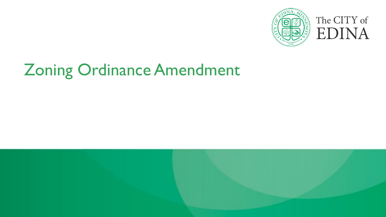

### Zoning Ordinance Amendment

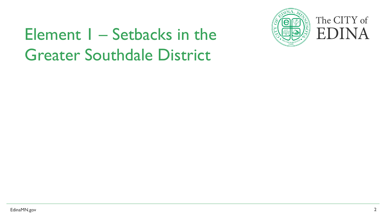### **Element I – Setbacks in the ELERTY EDINA** Greater Southdale District



## The CITY of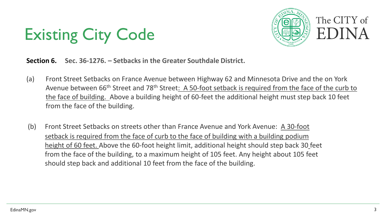



**Section 6. Sec. 36-1276. – Setbacks in the Greater Southdale District.**

- (a) Front Street Setbacks on France Avenue between Highway 62 and Minnesota Drive and the on York Avenue between 66<sup>th</sup> Street and 78<sup>th</sup> Street: A 50-foot setback is required from the face of the curb to the face of building. Above a building height of 60-feet the additional height must step back 10 feet from the face of the building.
- (b) Front Street Setbacks on streets other than France Avenue and York Avenue: A 30-foot setback is required from the face of curb to the face of building with a building podium height of 60 feet. Above the 60-foot height limit, additional height should step back 30 feet from the face of the building, to a maximum height of 105 feet. Any height about 105 feet should step back and additional 10 feet from the face of the building.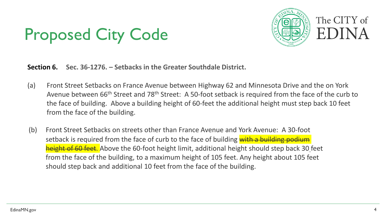### Proposed City Code



**Section 6. Sec. 36-1276. – Setbacks in the Greater Southdale District.**

- (a) Front Street Setbacks on France Avenue between Highway 62 and Minnesota Drive and the on York Avenue between 66<sup>th</sup> Street and 78<sup>th</sup> Street: A 50-foot setback is required from the face of the curb to the face of building. Above a building height of 60-feet the additional height must step back 10 feet from the face of the building.
- (b) Front Street Setbacks on streets other than France Avenue and York Avenue: A 30-foot setback is required from the face of curb to the face of building with a building podium height of 60 feet. Above the 60-foot height limit, additional height should step back 30 feet from the face of the building, to a maximum height of 105 feet. Any height about 105 feet should step back and additional 10 feet from the face of the building.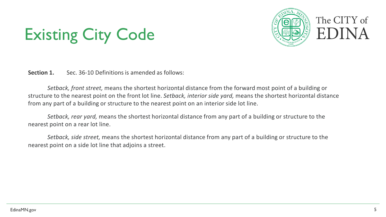### Existing City Code



**Section 1.** Sec. 36-10 Definitions is amended as follows:

*Setback, front street,* means the shortest horizontal distance from the forward most point of a building or structure to the nearest point on the front lot line. *Setback, interior side yard,* means the shortest horizontal distance from any part of a building or structure to the nearest point on an interior side lot line.

*Setback, rear yard,* means the shortest horizontal distance from any part of a building or structure to the nearest point on a rear lot line.

*Setback, side street,* means the shortest horizontal distance from any part of a building or structure to the nearest point on a side lot line that adjoins a street.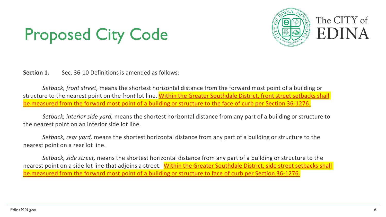### Proposed City Code



**Section 1.** Sec. 36-10 Definitions is amended as follows:

*Setback, front street,* means the shortest horizontal distance from the forward most point of a building or structure to the nearest point on the front lot line. Within the Greater Southdale District, front street setbacks shall be measured from the forward most point of a building or structure to the face of curb per Section 36-1276.

*Setback, interior side yard,* means the shortest horizontal distance from any part of a building or structure to the nearest point on an interior side lot line.

*Setback, rear yard,* means the shortest horizontal distance from any part of a building or structure to the nearest point on a rear lot line.

*Setback, side street,* means the shortest horizontal distance from any part of a building or structure to the nearest point on a side lot line that adjoins a street. Within the Greater Southdale District, side street setbacks shall be measured from the forward most point of a building or structure to face of curb per Section 36-1276.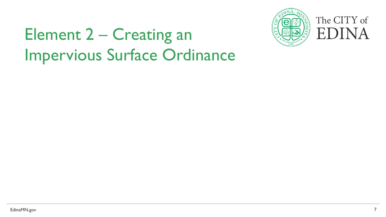

### Element 2 – Creating an **Element 2 – Creating an** Impervious Surface Ordinance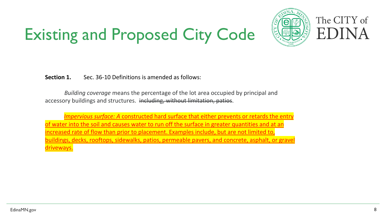### Existing and Proposed City Code



**Section 1.** Sec. 36-10 Definitions is amended as follows:

*Building coverage* means the percentage of the lot area occupied by principal and accessory buildings and structures. including, without limitation, patios.

 *Impervious surface: A* constructed hard surface that either prevents or retards the entry of water into the soil and causes water to run off the surface in greater quantities and at an increased rate of flow than prior to placement. Examples include, but are not limited to, buildings, decks, rooftops, sidewalks, patios, permeable pavers, and concrete, asphalt, or gravel driveways.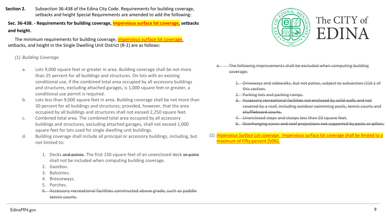**Section 2.** Subsection 36-438 of the Edina City Code. Requirements for building coverage, setbacks and height Special Requirements are amended to add the following:

**Sec. 36-438. - Requirements for building coverage, impervious surface lot coverage, setbacks and height.**

The minimum requirements for building coverage, *impervious surface lot coverage*, setbacks, and height in the Single Dwelling Unit District (R-1) are as follows:

*(1) Building Coverage.*

- a. Lots 9,000 square feet or greater in area. Building coverage shall be not more than 25 percent for all buildings and structures. On lots with an existing conditional use, if the combined total area occupied by all accessory buildings and structures, excluding attached garages, is 1,000 square feet or greater, a conditional use permit is required.
- b. Lots less than 9,000 square feet in area. Building coverage shall be not more than 30 percent for all buildings and structures; provided, however, that the area occupied by all buildings and structures shall not exceed 2,250 square feet.
- c. Combined total area. The combined total area occupied by all accessory buildings and structures, excluding attached garages, shall not exceed 1,000 square feet for lots used for single dwelling unit buildings.
- d. Building coverage shall include all principal or accessory buildings, including, but not limited to:
	- 1. Decks and patios. The first 150 square feet of an unenclosed deck or patio shall not be included when computing building coverage.
	- 2. Gazebos.
	- 3. Balconies.
	- 4. Breezeways.
	- 5. Porches.
	- 6. Accessory recreational facilities constructed above grade, such as paddle tennis courts.



- e. The following improvements shall be excluded when computing building coverage:
	- 1. Driveways and sidewalks, but not patios, subject to subsection (1)d.1 of this section.
	- 2. Parking lots and parking ramps.
	- 3. Accessory recreational facilities not enclosed by solid walls and not covered by a roof, including outdoor swimming pools, tennis courts and shuffleboard courts.
	- 4. Unenclosed steps and stoops less than 50 square feet.
	- 5. Overhanging eaves and roof projections not supported by posts or pillars.
- (2) *Impervious Surface Lot coverage.* Impervious surface lot coverage shall be limited to a maximum of Fifty percent (50%).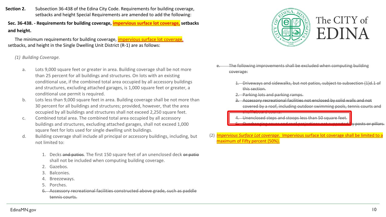**Section 2.** Subsection 36-438 of the Edina City Code. Requirements for building coverage, setbacks and height Special Requirements are amended to add the following:

**Sec. 36-438. - Requirements for building coverage, impervious surface lot coverage, setbacks and height.**

The minimum requirements for building coverage, *impervious surface lot coverage*, setbacks, and height in the Single Dwelling Unit District (R-1) are as follows:

*(1) Building Coverage.*

- a. Lots 9,000 square feet or greater in area. Building coverage shall be not more than 25 percent for all buildings and structures. On lots with an existing conditional use, if the combined total area occupied by all accessory buildings and structures, excluding attached garages, is 1,000 square feet or greater, a conditional use permit is required.
- b. Lots less than 9,000 square feet in area. Building coverage shall be not more than 30 percent for all buildings and structures; provided, however, that the area occupied by all buildings and structures shall not exceed 2,250 square feet.
- c. Combined total area. The combined total area occupied by all accessory buildings and structures, excluding attached garages, shall not exceed 1,000 square feet for lots used for single dwelling unit buildings.
- d. Building coverage shall include all principal or accessory buildings, including, but not limited to:
	- 1. Decks and patios. The first 150 square feet of an unenclosed deck or patio shall not be included when computing building coverage.
	- 2. Gazebos.
	- 3. Balconies.
	- 4. Breezeways.
	- 5. Porches.
	- 6. Accessory recreational facilities constructed above grade, such as paddle tennis courts.



- e. The following improvements shall be excluded when computing building coverage:
	- 1. Driveways and sidewalks, but not patios, subject to subsection (1)d.1 of this section.
	- 2. Parking lots and parking ramps.
	- 3. Accessory recreational facilities not enclosed by solid walls and not covered by a roof, including outdoor swimming pools, tennis courts and

shuffleboard courts.

- 4. Unenclosed steps and stoops less than 50 square feet.
- 5. Overhanging eaves and roof projections not supported by posts or pillars.
- (2) *Impervious Surface Lot coverage.* Impervious surface lot coverage shall be limited to a maximum of Fifty percent (50%).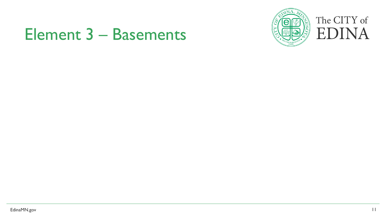## Element 3 – Basements



# The CITY of<br>EDINA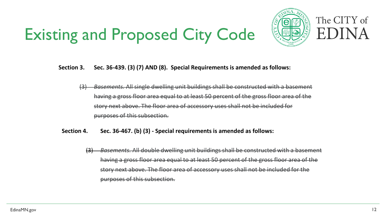### **Existing and Proposed City Code EQUA** EDIN



## The CITY of

#### **Section 3. Sec. 36-439. (3) (7) AND (8). Special Requirements is amended as follows:**

- (3) *Basements.* All single dwelling unit buildings shall be constructed with a basement having a gross floor area equal to at least 50 percent of the gross floor area of the story next above. The floor area of accessory uses shall not be included for purposes of this subsection.
- **Section 4. Sec. 36-467. (b) (3) - Special requirements is amended as follows:**
	- (3) *Basements.* All double dwelling unit buildings shall be constructed with a basement having a gross floor area equal to at least 50 percent of the gross floor area of the story next above. The floor area of accessory uses shall not be included for the purposes of this subsection.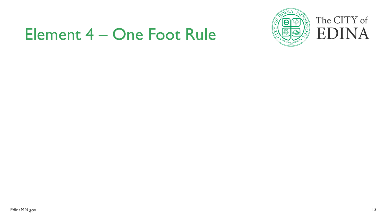### Element 4 – One Foot Rule



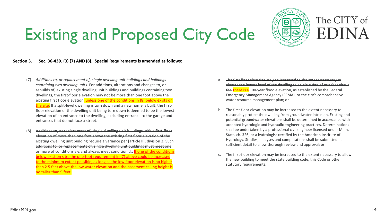#### Existing and Proposed City Code Ĭ j



#### **Section 3. Sec. 36-439. (3) (7) AND (8). Special Requirements is amended as follows:**

- (7) *Additions to, or replacement of, single dwelling unit buildings and buildings containing two dwelling units.* For additions, alterations and changes to, or rebuilds of, existing single dwelling unit buildings and buildings containing two existing first floor elevation<mark>, unless one of the conditions in (8) below exists on</mark> <mark>the site.</mark> If a split-level dwelling is torn down and a new home is built, the first- elevation of an entrance to the dwelling, excluding entrance to the garage and entrances that do not face a street. dwellings, the first-floor elevation may not be more than one foot above the floor elevation of the dwelling unit being torn down is deemed to be the lowest
- (8) Additions to, or replacement of, single dwelling unit buildings with a first-floor elevation of more than one foot above the existing first floor elevation of the existing dwelling unit building require a variance per [article II], division 3. Such additions to, or replacements of, single dwelling unit buildings must meet one below exist on site, the one-foot requirement in (7) above could be increased<br>to the minimum extent possible, as long as the low floor elevation is no higher to the minimum extent possible, as long as the low hoor elevation is no higher<br>than 2.5 feet above the low water elevation and the basement ceiling height is **notaller than 9 feet.** ٦ or more of conditions a-c and always meet condition d.: If one of the conditions below exist on site, the one-foot requirement in (7) above could be increased
- The first floor elevation may be increased to the extent necessary to elevate the lowest level of the dwelling to an elevation of two feet above the There is a 100-year flood elevation, as established by the Federal Emergency Management Agency (FEMA), or the city's comprehensive water resource management plan; or
- b. The first-floor elevation may be increased to the extent necessary to reasonably protect the dwelling from groundwater intrusion. Existing and potential groundwater elevations shall be determined in accordance with accepted hydrologic and hydraulic engineering practices. Determinations shall be undertaken by a professional civil engineer licensed under Minn. Stats. ch. 326, or a hydrologist certified by the American Institute of Hydrology. Studies, analyses and computations shall be submitted in sufficient detail to allow thorough review and approval; or
- c. The first-floor elevation may be increased to the extent necessary to allow the new building to meet the state building code, this Code or other statutory requirements.

i

֦